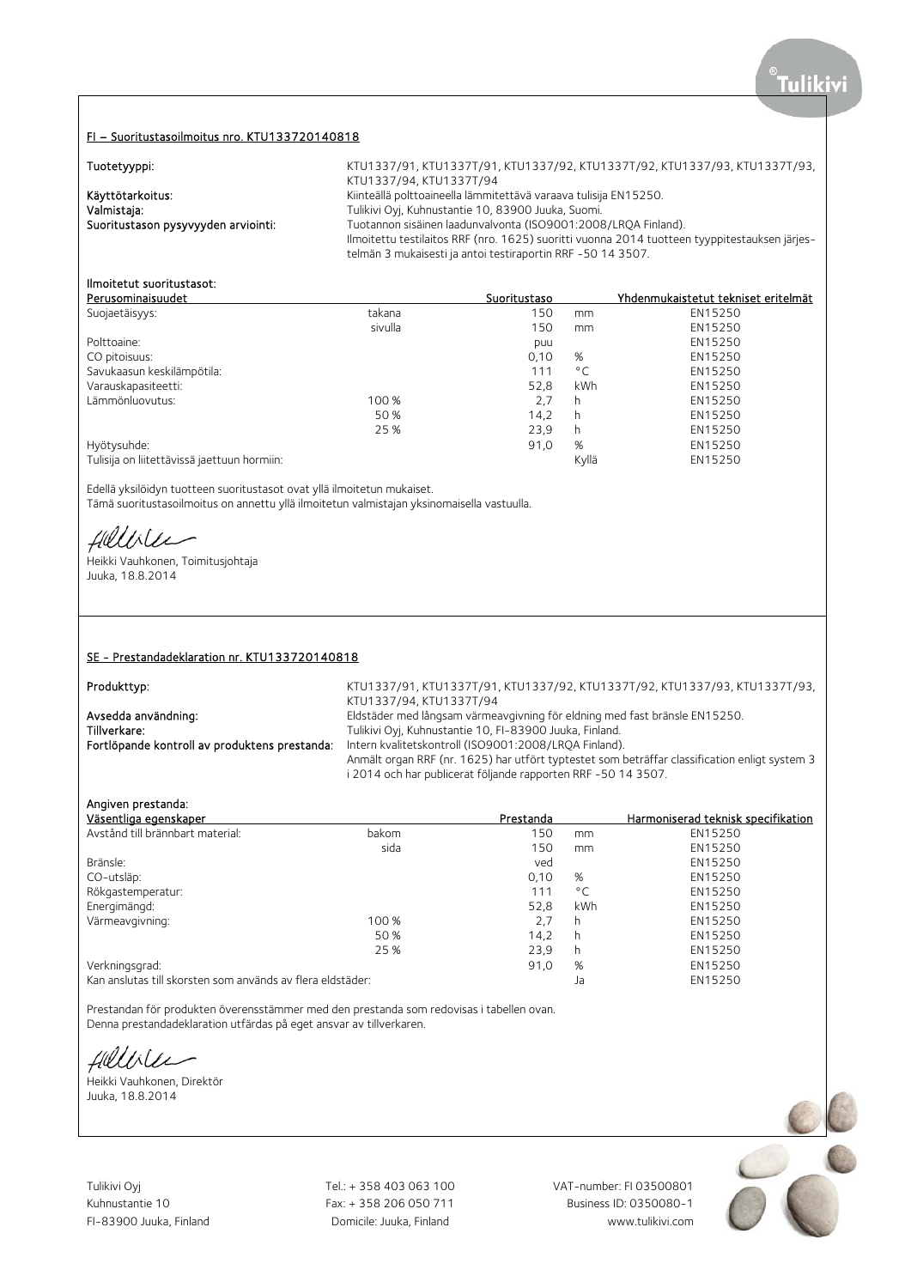#### FI – Suoritustasoilmoitus nro. KTU133720140818

| Tuotetyyppi:                        | KTU1337/91, KTU1337T/91, KTU1337/92, KTU1337T/92, KTU1337/93, KTU1337T/93,                    |
|-------------------------------------|-----------------------------------------------------------------------------------------------|
|                                     | KTU1337/94, KTU1337T/94                                                                       |
| Käyttötarkoitus:                    | Kiinteällä polttoaineella lämmitettävä varaava tulisija EN15250.                              |
| Valmistaja:                         | Tulikivi Oyi, Kuhnustantie 10, 83900 Juuka, Suomi.                                            |
| Suoritustason pysyvyyden arviointi: | Tuotannon sisäinen laadunvalvonta (ISO9001:2008/LROA Finland).                                |
|                                     | Ilmoitettu testilaitos RRF (nro. 1625) suoritti vuonna 2014 tuotteen tyyppitestauksen järjes- |
|                                     | telmän 3 mukaisesti ja antoi testiraportin RRF -50 14 3507.                                   |

#### Ilmoitetut suoritustasot:

| Perusominaisuudet                           |         | Suoritustaso |       | Yhdenmukaistetut tekniset eritelmät |
|---------------------------------------------|---------|--------------|-------|-------------------------------------|
| Suojaetäisyys:                              | takana  | 150          | mm    | EN15250                             |
|                                             | sivulla | 150          | mm    | EN15250                             |
| Polttoaine:                                 |         | puu          |       | EN15250                             |
| CO pitoisuus:                               |         | 0.10         | %     | EN15250                             |
| Savukaasun keskilämpötila:                  |         | 111          | °C    | EN15250                             |
| Varauskapasiteetti:                         |         | 52.8         | kWh   | EN15250                             |
| Lämmönluovutus:                             | 100 %   | 2,7          | h     | EN15250                             |
|                                             | 50 %    | 14,2         | h     | EN15250                             |
|                                             | 25 %    | 23.9         | h     | EN15250                             |
| Hyötysuhde:                                 |         | 91,0         | %     | EN15250                             |
| Tulisija on liitettävissä jaettuun hormiin: |         |              | Kvllä | EN15250                             |

Edellä yksilöidyn tuotteen suoritustasot ovat yllä ilmoitetun mukaiset. Tämä suoritustasoilmoitus on annettu yllä ilmoitetun valmistajan yksinomaisella vastuulla.

fillble

Heikki Vauhkonen, Toimitusjohtaja Juuka, 18.8.2014

#### SE - Prestandadeklaration nr. KTU133720140818

Produkttyp: KTU1337/91, KTU1337T/91, KTU1337/92, KTU1337T/92, KTU1337/93, KTU1337T/93, KTU1337/94, KTU1337T/94 Avsedda användning: Eldstäder med långsam värmeavgivning för eldning med fast bränsle EN15250.<br>Tillverkare: Tulikivi Ovi. Kuhnustantie 10. FI-83900 Juuka. Finland. Tulikivi Ovi, Kuhnustantie 10, FI-83900 Juuka, Finland. Fortlöpande kontroll av produktens prestanda: Intern kvalitetskontroll (ISO9001:2008/LRQA Finland). Anmält organ RRF (nr. 1625) har utfört typtestet som beträffar classification enligt system 3 i 2014 och har publicerat följande rapporten RRF -50 14 3507.

#### Angiven prestanda:

| Väsentliga egenskaper                                      |       | Prestanda |              | Harmoniserad teknisk specifikation |
|------------------------------------------------------------|-------|-----------|--------------|------------------------------------|
| Avstånd till brännbart material:                           | bakom | 150       | mm           | EN15250                            |
|                                                            | sida  | 150       | mm           | EN15250                            |
| Bränsle:                                                   |       | ved       |              | EN15250                            |
| CO-utsläp:                                                 |       | 0,10      | %            | EN15250                            |
| Rökgastemperatur:                                          |       | 111       | $^{\circ}$ C | EN15250                            |
| Energimängd:                                               |       | 52,8      | kWh          | EN15250                            |
| Värmeavgivning:                                            | 100 % | 2,7       | h            | EN15250                            |
|                                                            | 50 %  | 14,2      | h            | EN15250                            |
|                                                            | 25 %  | 23,9      | h            | EN15250                            |
| Verkningsgrad:                                             |       | 91,0      | %            | EN15250                            |
| Kan anslutas till skorsten som används av flera eldstäder: |       |           | Ja           | EN15250                            |

Prestandan för produkten överensstämmer med den prestanda som redovisas i tabellen ovan. Denna prestandadeklaration utfärdas på eget ansvar av tillverkaren.

fillirler

Heikki Vauhkonen, Direktör Juuka, 18.8.2014

Tulikivi Oyj Tel.: + 358 403 063 100 VAT-number: FI 03500801

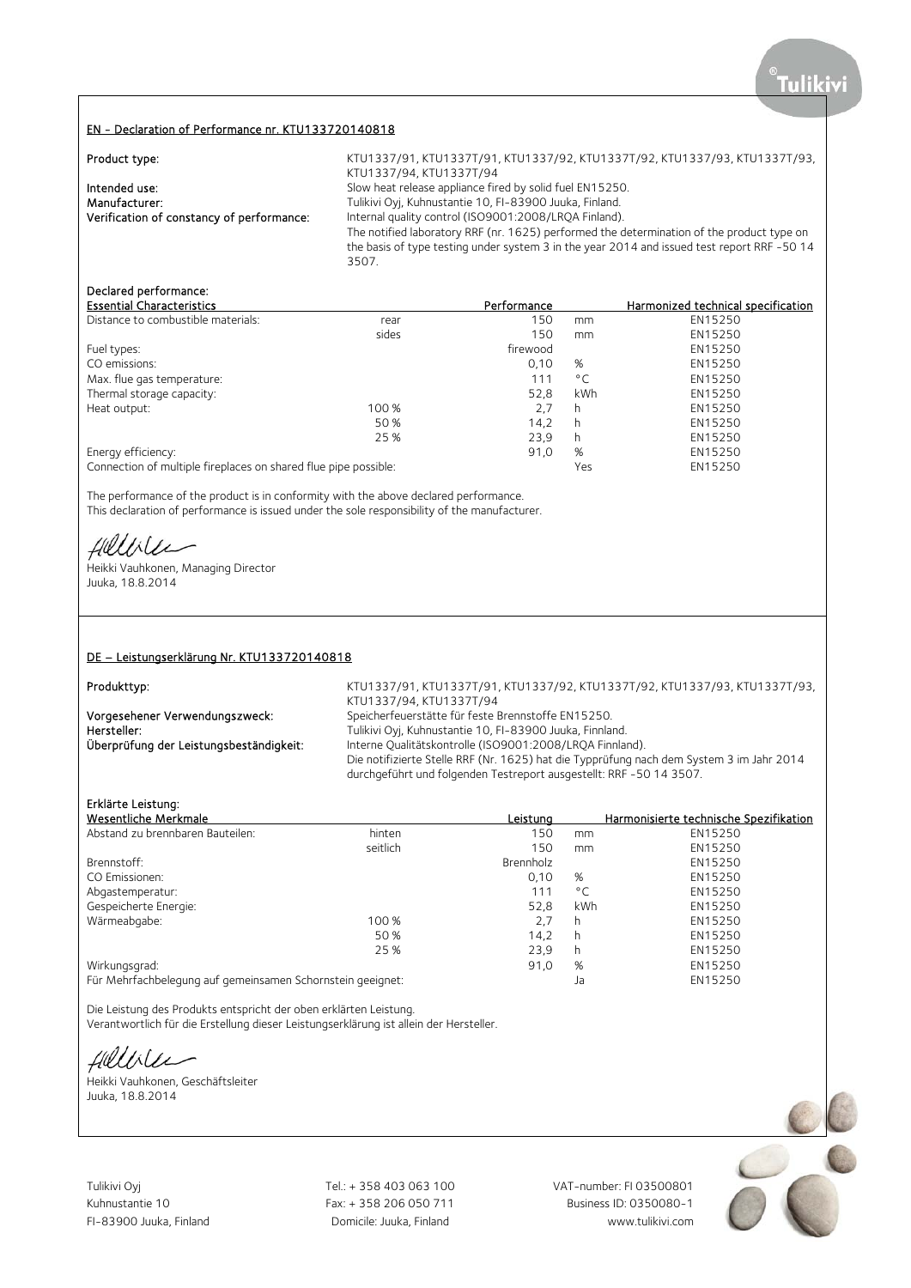### EN - Declaration of Performance nr. KTU133720140818

| Product type:                             | KTU1337/91, KTU1337T/91, KTU1337/92, KTU1337T/92, KTU1337/93, KTU1337T/93,<br>KTU1337/94, KTU1337T/94 |
|-------------------------------------------|-------------------------------------------------------------------------------------------------------|
| Intended use:                             | Slow heat release appliance fired by solid fuel EN15250.                                              |
| Manufacturer:                             | Tulikivi Oyj, Kuhnustantie 10, FI-83900 Juuka, Finland.                                               |
| Verification of constancy of performance: | Internal quality control (ISO9001:2008/LRQA Finland).                                                 |
|                                           | The notified laboratory RRF (nr. 1625) performed the determination of the product type on             |
|                                           | the basis of type testing under system 3 in the year 2014 and issued test report RRF -50 14           |
|                                           | 3507.                                                                                                 |

# Declared performance:

| <b>Essential Characteristics</b>                                |       | Performance |     | Harmonized technical specification |
|-----------------------------------------------------------------|-------|-------------|-----|------------------------------------|
| Distance to combustible materials:                              | rear  | 150         | mm  | EN15250                            |
|                                                                 | sides | 150         | mm  | EN15250                            |
| Fuel types:                                                     |       | firewood    |     | EN15250                            |
| CO emissions:                                                   |       | 0.10        | %   | EN15250                            |
| Max. flue gas temperature:                                      |       | 111         | °C  | EN15250                            |
| Thermal storage capacity:                                       |       | 52,8        | kWh | EN15250                            |
| Heat output:                                                    | 100 % | 2,7         | h   | EN15250                            |
|                                                                 | 50 %  | 14,2        | h   | EN15250                            |
|                                                                 | 25 %  | 23.9        | h   | EN15250                            |
| Energy efficiency:                                              |       | 91,0        | %   | EN15250                            |
| Connection of multiple fireplaces on shared flue pipe possible: |       |             | Yes | EN15250                            |

The performance of the product is in conformity with the above declared performance. This declaration of performance is issued under the sole responsibility of the manufacturer.

Hellile

Heikki Vauhkonen, Managing Director Juuka, 18.8.2014

#### DE – Leistungserklärung Nr. KTU133720140818

Produkttyp: KTU1337/91, KTU1337T/91, KTU1337/92, KTU1337T/92, KTU1337/93, KTU1337T/93, KTU1337/94, KTU1337T/94 Vorgesehener Verwendungszweck: Speicherfeuerstätte für feste Brennstoffe EN15250.<br>Speicherfeuerstätte für Fullkivi Ovi. Kuhnustantie 10. FI-83900 Juuka. Finnlander Hersteller: Tulikivi Oyj, Kuhnustantie 10, FI-83900 Juuka, Finnland.<br>
Überprüfung der Leistungsbeständigkeit: Interne Qualitätskontrolle (ISO9001:2008/LRQA Finnlai Interne Qualitätskontrolle (ISO9001:2008/LRQA Finnland). Die notifizierte Stelle RRF (Nr. 1625) hat die Typprüfung nach dem System 3 im Jahr 2014 durchgeführt und folgenden Testreport ausgestellt: RRF -50 14 3507.

## Erklärte Leistung:

| Wesentliche Merkmale                                       |          | Leistuna  |              | Harmonisierte technische Spezifikation |
|------------------------------------------------------------|----------|-----------|--------------|----------------------------------------|
| Abstand zu brennbaren Bauteilen:                           | hinten   | 150       | mm           | EN15250                                |
|                                                            | seitlich | 150       | mm           | EN15250                                |
| Brennstoff:                                                |          | Brennholz |              | EN15250                                |
| CO Emissionen:                                             |          | 0.10      | %            | EN15250                                |
| Abgastemperatur:                                           |          | 111       | $^{\circ}$ C | EN15250                                |
| Gespeicherte Energie:                                      |          | 52,8      | kWh          | EN15250                                |
| Wärmeabgabe:                                               | 100 %    | 2.7       | h            | EN15250                                |
|                                                            | 50 %     | 14,2      | h            | EN15250                                |
|                                                            | 25 %     | 23,9      | h            | EN15250                                |
| Wirkungsgrad:                                              |          | 91,0      | %            | EN15250                                |
| Für Mehrfachbelegung auf gemeinsamen Schornstein geeignet: |          |           | Ja           | EN15250                                |

Die Leistung des Produkts entspricht der oben erklärten Leistung. Verantwortlich für die Erstellung dieser Leistungserklärung ist allein der Hersteller.

Hillble

Heikki Vauhkonen, Geschäftsleiter Juuka, 18.8.2014

Tulikivi Oyj Tel.: + 358 403 063 100 VAT-number: FI 03500801

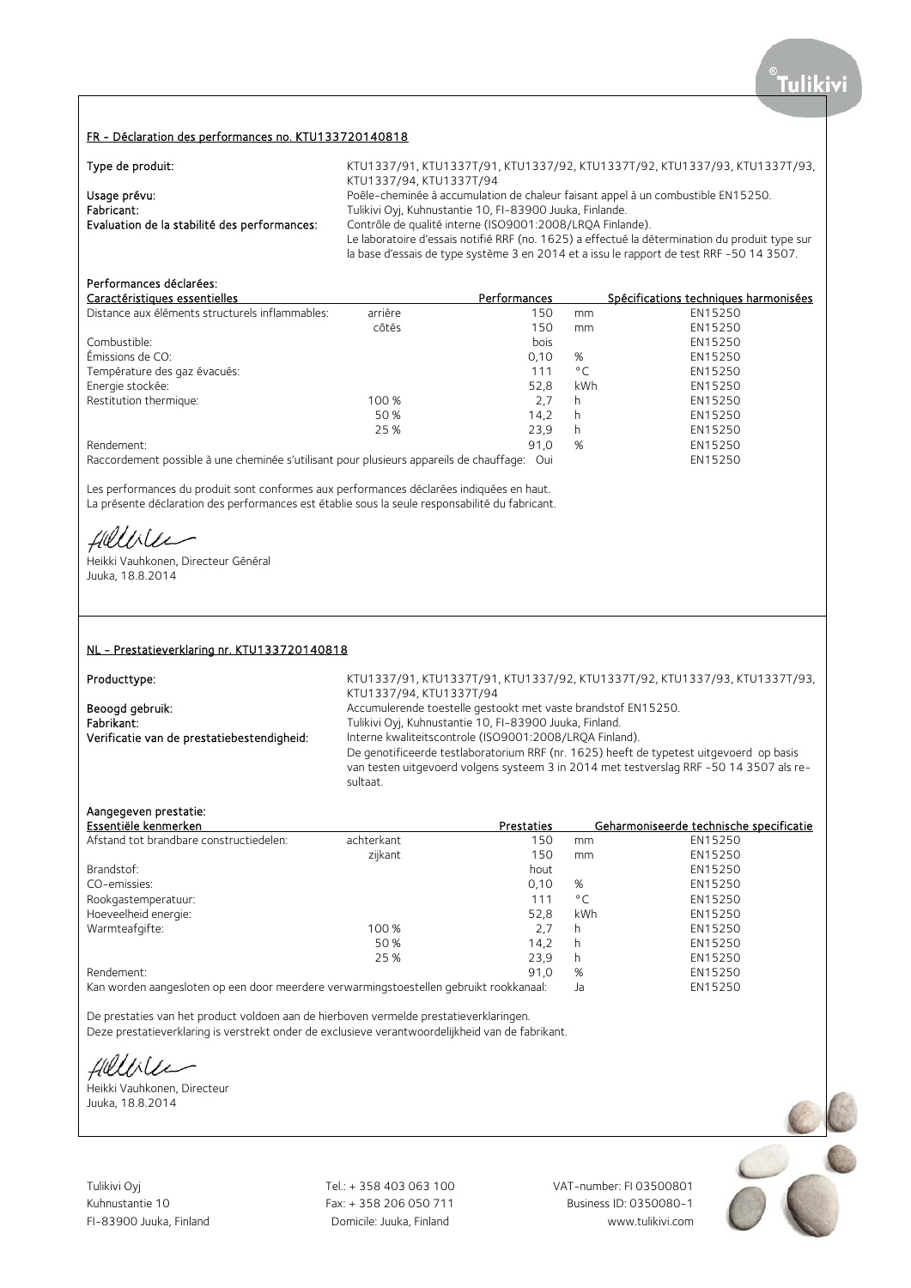#### FR - Déclaration des performances no. KTU133720140818

| Type de produit:                             | KTU1337/91, KTU1337T/91, KTU1337/92, KTU1337T/92, KTU1337/93, KTU1337T/93,                     |
|----------------------------------------------|------------------------------------------------------------------------------------------------|
|                                              | KTU1337/94, KTU1337T/94                                                                        |
| Usage prévu:                                 | Poêle-cheminée à accumulation de chaleur faisant appel à un combustible EN15250.               |
| Fabricant:                                   | Tulikivi Oyj, Kuhnustantie 10, FI-83900 Juuka, Finlande.                                       |
| Evaluation de la stabilité des performances: | Contrôle de qualité interne (ISO9001:2008/LROA Finlande).                                      |
|                                              | Le laboratoire d'essais notifié RRF (no. 1625) a effectué la détermination du produit type sur |
|                                              | la base d'essais de type système 3 en 2014 et a issu le rapport de test RRF -50 14 3507.       |

## Performances déclarées:

|      |                              | Spécifications techniques harmonisées                                                                                                                                  |
|------|------------------------------|------------------------------------------------------------------------------------------------------------------------------------------------------------------------|
| 150  |                              |                                                                                                                                                                        |
| 150  |                              |                                                                                                                                                                        |
| bois |                              |                                                                                                                                                                        |
|      |                              |                                                                                                                                                                        |
| 111  |                              |                                                                                                                                                                        |
|      |                              |                                                                                                                                                                        |
| 2.7  |                              |                                                                                                                                                                        |
| 14.2 |                              |                                                                                                                                                                        |
|      |                              |                                                                                                                                                                        |
|      |                              |                                                                                                                                                                        |
|      | 0.10<br>52.8<br>23.9<br>91,0 | EN15250<br>mm<br>EN15250<br>mm<br>EN15250<br>%<br>EN15250<br>EN15250<br>$^{\circ}$ C<br>kWh<br>EN15250<br>EN15250<br>h<br>EN15250<br>h<br>EN15250<br>h<br>EN15250<br>% |

Raccordement possible à une cheminée s'utilisant pour plusieurs appareils de chauffage: Oui EN15250

Les performances du produit sont conformes aux performances déclarées indiquées en haut. La présente déclaration des performances est établie sous la seule responsabilité du fabricant.

fillirler

Heikki Vauhkonen, Directeur Général Juuka, 18.8.2014

### NL - Prestatieverklaring nr. KTU133720140818

Producttype:

KTU1337/91, KTU1337T/91, KTU1337/92, KTU1337T/92, KTU1337/93, KTU1337T/93, KTU1337/94, KTU1337T/94 Beoogd gebruik: <br>
Beoogd gebruik: Accumulerende toestelle gestookt met vaste brandstof EN15250.<br>
Fabrikant: Culture Tulikivi Ovi. Kuhnustantie 10. FI-83900 Juuka. Finland. Fabrikant: Tulikivi Oyj, Kuhnustantie 10, FI-83900 Juuka, Finland.<br>1. Tulikivi Oyj, Kuhnustantie 10, FI-83900 Juuka, Finland. Verificatie van de prestatiebestendigheid: Interne Interne kwaliteitscontrole (ISO9001:2008/LRQA Finland). De genotificeerde testlaboratorium RRF (nr. 1625) heeft de typetest uitgevoerd op basis van testen uitgevoerd volgens systeem 3 in 2014 met testverslag RRF -50 14 3507 als resultaat.

#### Aangegeven prestatie:

| Essentiële kenmerken                    |            | Prestaties |              | Geharmoniseerde technische specificatie |
|-----------------------------------------|------------|------------|--------------|-----------------------------------------|
| Afstand tot brandbare constructiedelen: | achterkant | 150        | mm           | EN15250                                 |
|                                         | zijkant    | 150        | mm           | EN15250                                 |
| Brandstof:                              |            | hout       |              | EN15250                                 |
| CO-emissies:                            |            | 0.10       | %            | EN15250                                 |
| Rookgastemperatuur:                     |            | 111        | $^{\circ}$ C | EN15250                                 |
| Hoeveelheid energie:                    |            | 52,8       | <b>kWh</b>   | EN15250                                 |
| Warmteafgifte:                          | 100 %      | 2.7        | h            | EN15250                                 |
|                                         | 50 %       | 14.2       | h            | EN15250                                 |
|                                         | 25 %       | 23.9       | h            | EN15250                                 |
| Rendement:                              |            | 91.0       | %            | EN15250                                 |
|                                         |            |            |              |                                         |

Kan worden aangesloten op een door meerdere verwarmingstoestellen gebruikt rookkanaal: Ja EN15250

De prestaties van het product voldoen aan de hierboven vermelde prestatieverklaringen.

Deze prestatieverklaring is verstrekt onder de exclusieve verantwoordelijkheid van de fabrikant.

Hillble

Heikki Vauhkonen, Directeur Juuka, 18.8.2014

Tulikivi Oyj Tel.: + 358 403 063 100 VAT-number: FI 03500801

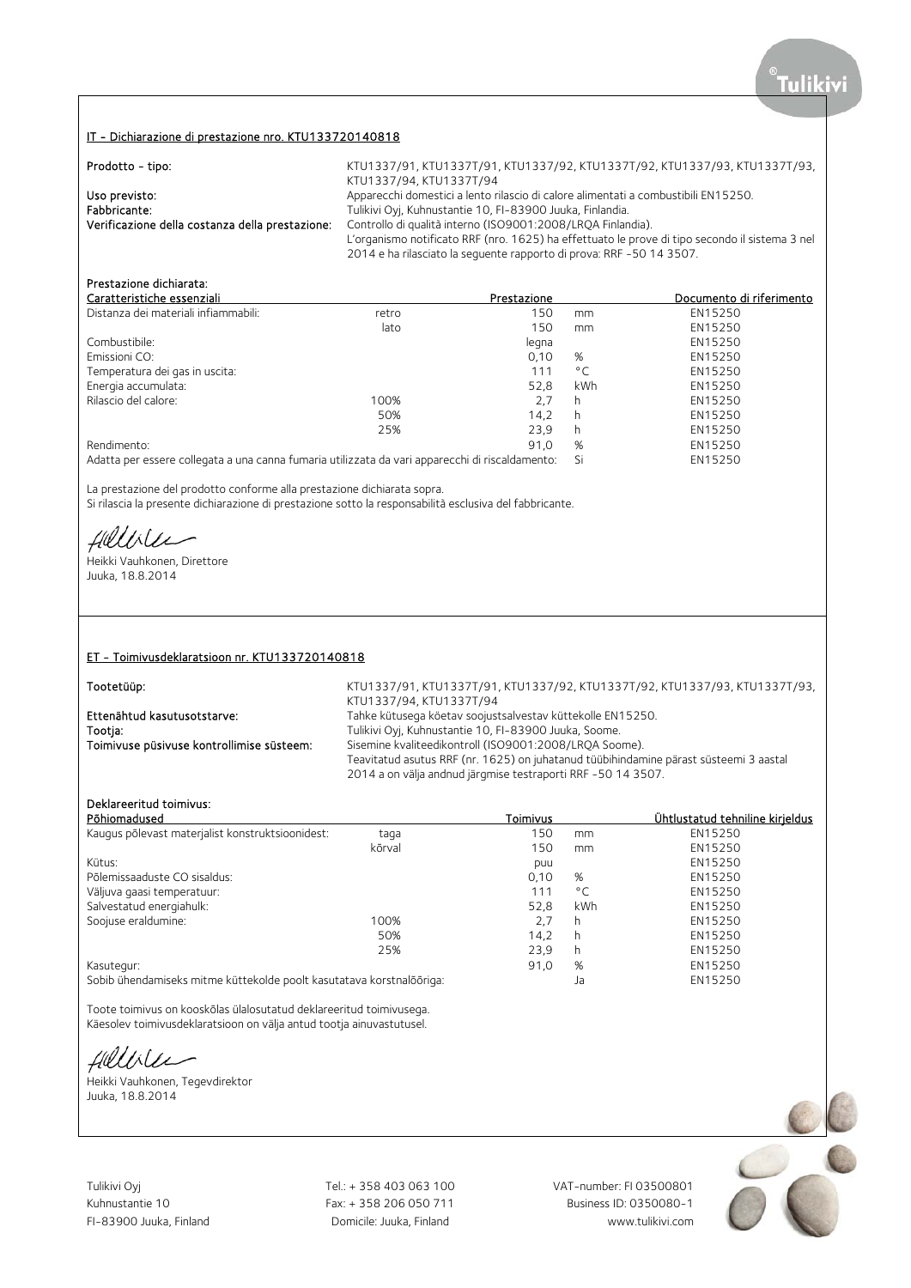#### IT - Dichiarazione di prestazione nro. KTU133720140818

| Prodotto - tipo:                                | KTU1337/91, KTU1337T/91, KTU1337/92, KTU1337T/92, KTU1337/93, KTU1337T/93,                     |
|-------------------------------------------------|------------------------------------------------------------------------------------------------|
|                                                 | KTU1337/94, KTU1337T/94                                                                        |
| Uso previsto:                                   | Apparecchi domestici a lento rilascio di calore alimentati a combustibili EN15250.             |
| Fabbricante:                                    | Tulikivi Oyj, Kuhnustantie 10, FI-83900 Juuka, Finlandia.                                      |
| Verificazione della costanza della prestazione: | Controllo di qualità interno (ISO9001:2008/LROA Finlandia).                                    |
|                                                 | L'organismo notificato RRF (nro. 1625) ha effettuato le prove di tipo secondo il sistema 3 nel |
|                                                 | 2014 e ha rilasciato la sequente rapporto di prova: RRF -50 14 3507.                           |

## Prestazione dichiarata:

| Caratteristiche essenziali           |       | Prestazione |              | Documento di riferimento |
|--------------------------------------|-------|-------------|--------------|--------------------------|
| Distanza dei materiali infiammabili: | retro | 150         | mm           | EN15250                  |
|                                      | lato  | 150         | mm           | EN15250                  |
| Combustibile:                        |       | legna       |              | EN15250                  |
| Emissioni CO:                        |       | 0.10        | %            | EN15250                  |
| Temperatura dei gas in uscita:       |       | 111         | $^{\circ}$ C | EN15250                  |
| Energia accumulata:                  |       | 52.8        | kWh          | EN15250                  |
| Rilascio del calore:                 | 100%  | 2.7         | h            | EN15250                  |
|                                      | 50%   | 14.2        | h            | EN15250                  |
|                                      | 25%   | 23.9        | h            | EN15250                  |
| Rendimento:                          |       | 91.0        | %            | EN15250                  |
|                                      |       |             |              |                          |

Adatta per essere collegata a una canna fumaria utilizzata da vari apparecchi di riscaldamento: Si EN15250

La prestazione del prodotto conforme alla prestazione dichiarata sopra. Si rilascia la presente dichiarazione di prestazione sotto la responsabilità esclusiva del fabbricante.

fillise

Heikki Vauhkonen, Direttore Juuka, 18.8.2014

#### ET - Toimivusdeklaratsioon nr. KTU133720140818

Tootetüüp: KTU1337/91, KTU1337T/91, KTU1337/92, KTU1337T/92, KTU1337/93, KTU1337T/93, KTU1337/94, KTU1337T/94 Ettenähtud kasutusotstarve: Tahke kütusega köetav soojustsalvestav küttekolle EN15250.<br>Tootia: Tulikivi Ovi. Kuhnustantie 10. FI-83900 Juuka. Soome. Tootja: Tulikivi Oyj, Kuhnustantie 10, FI-83900 Juuka, Soome. Sisemine kvaliteedikontroll (ISO9001:2008/LRQA Soome). Teavitatud asutus RRF (nr. 1625) on juhatanud tüübihindamine pärast süsteemi 3 aastal 2014 a on välja andnud järgmise testraporti RRF -50 14 3507.

## Deklareeritud toimivus:

| Põhiomadused                                                         |        | Toimivus |                          | Ühtlustatud tehniline kirjeldus |
|----------------------------------------------------------------------|--------|----------|--------------------------|---------------------------------|
| Kaugus põlevast materjalist konstruktsioonidest:                     | taga   | 150      | mm                       | EN15250                         |
|                                                                      | kõrval | 150      | mm                       | EN15250                         |
| Kütus:                                                               |        | puu      |                          | EN15250                         |
| Põlemissaaduste CO sisaldus:                                         |        | 0.10     | %                        | EN15250                         |
| Väljuva gaasi temperatuur:                                           |        | 111      | $^{\circ}$ C             | EN15250                         |
| Salvestatud energiahulk:                                             |        | 52.8     | kWh                      | EN15250                         |
| Soojuse eraldumine:                                                  | 100%   | 2.7      | h                        | EN15250                         |
|                                                                      | 50%    | 14.2     | h                        | EN15250                         |
|                                                                      | 25%    | 23.9     | h                        | EN15250                         |
| Kasutegur:                                                           |        | 91,0     | %                        | EN15250                         |
| Sobih übendamiseks mitme küttekelde poelt kasutatava kerstpalõõriga: |        |          | $\overline{\phantom{a}}$ | <b>ENITEDEO</b>                 |

Sobib ühendamiseks mitme küttekolde poolt kasutatava korstnalõõriga: Ja EN15250

Toote toimivus on kooskõlas ülalosutatud deklareeritud toimivusega. Käesolev toimivusdeklaratsioon on välja antud tootja ainuvastutusel.

fillisler

Heikki Vauhkonen, Tegevdirektor Juuka, 18.8.2014

Tulikivi Oyj Tel.: + 358 403 063 100 VAT-number: FI 03500801

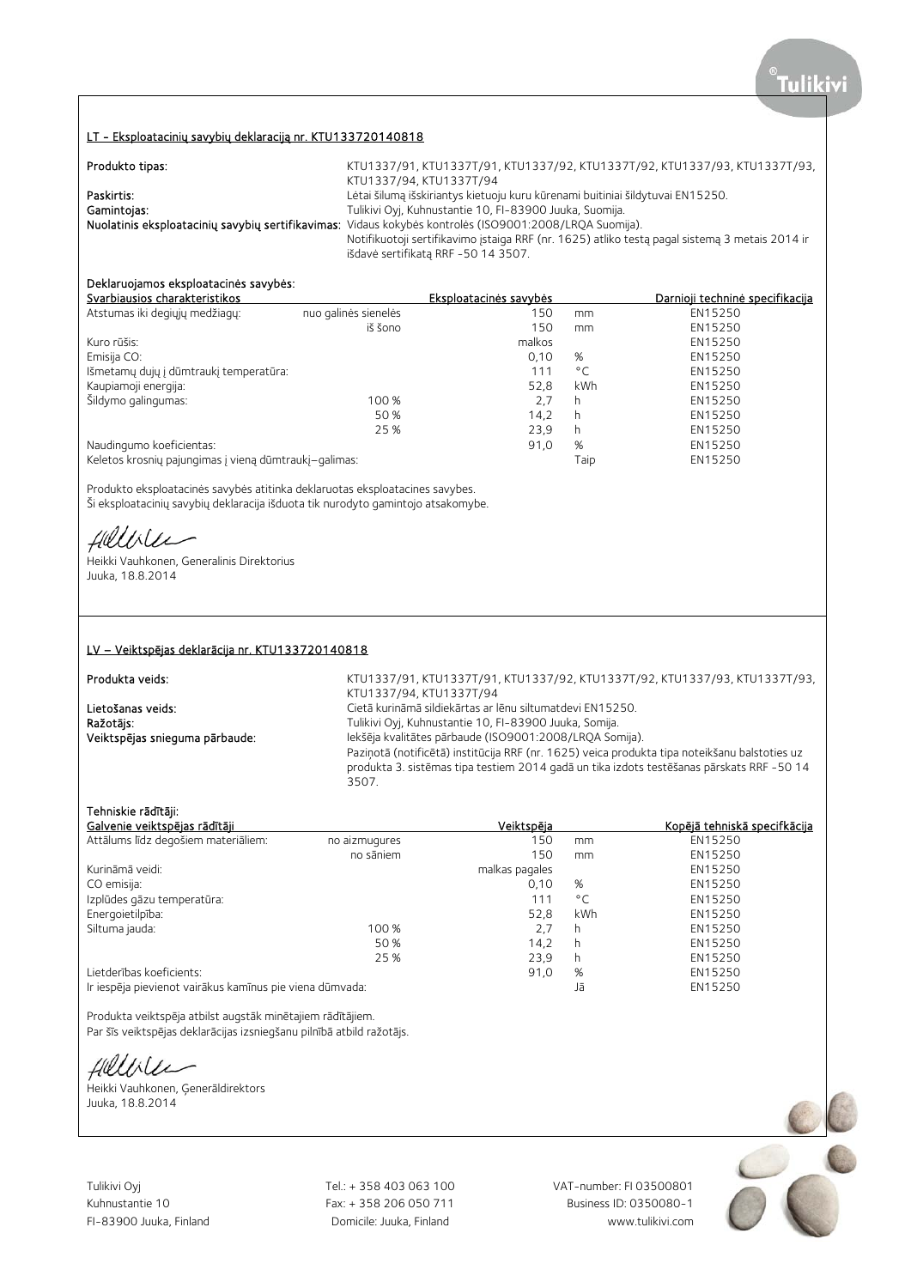#### LT - Eksploatacinių savybių deklaraciją nr. KTU133720140818

| Produkto tipas: | KTU1337/91, KTU1337T/91, KTU1337/92, KTU1337T/92, KTU1337/93, KTU1337T/93,                              |
|-----------------|---------------------------------------------------------------------------------------------------------|
|                 | KTU1337/94. KTU1337T/94                                                                                 |
| Paskirtis:      | Lėtai šilumą išskiriantys kietuoju kuru kūrenami buitiniai šildytuvai EN15250.                          |
| Gamintojas:     | Tulikivi Oyj, Kuhnustantie 10, FI-83900 Juuka, Suomija.                                                 |
|                 | Nuolatinis eksploatacinių savybių sertifikavimas: Vidaus kokybės kontrolės (ISO9001:2008/LRQA Suomija). |
|                 | Notifikuotoji sertifikavimo įstaiga RRF (nr. 1625) atliko testą pagal sistemą 3 metais 2014 ir          |
|                 | išdavė sertifikatą RRF -50 14 3507.                                                                     |

## Deklaruojamos eksploatacinės savybės:

| Svarbiausios charakteristikos                         |                      | Eksploatacinės savybės | Darnioji techninė specifikacija |         |
|-------------------------------------------------------|----------------------|------------------------|---------------------------------|---------|
| Atstumas iki degiųjų medžiagų:                        | nuo galinės sienelės | 150                    | mm                              | EN15250 |
|                                                       | iš šono              | 150                    | mm                              | EN15250 |
| Kuro rūšis:                                           |                      | malkos                 |                                 | EN15250 |
| Emisija CO:                                           |                      | 0.10                   | %                               | EN15250 |
| Išmetamų dujų į dūmtraukį temperatūra:                |                      | 111                    | $^{\circ}$ C                    | EN15250 |
| Kaupiamoji energija:                                  |                      | 52.8                   | kWh                             | EN15250 |
| Šildymo galingumas:                                   | 100 %                | 2,7                    | h                               | EN15250 |
|                                                       | 50 %                 | 14.2                   | h                               | EN15250 |
|                                                       | 25 %                 | 23.9                   | h                               | EN15250 |
| Naudingumo koeficientas:                              |                      | 91,0                   | %                               | EN15250 |
| Keletos krosnių pajungimas į vieną dūmtraukį–galimas: |                      | Taip                   | EN15250                         |         |

Produkto eksploatacinės savybės atitinka deklaruotas eksploatacines savybes. Ši eksploatacinių savybių deklaracija išduota tik nurodyto gamintojo atsakomybe.

fillise

Heikki Vauhkonen, Generalinis Direktorius Juuka, 18.8.2014

### LV – Veiktspējas deklarācija nr. KTU133720140818

Produkta veids: KTU1337/91, KTU1337T/91, KTU1337/92, KTU1337T/92, KTU1337/93, KTU1337T/93, KTU1337/94, KTU1337T/94 Lietošanas veids: Cietā kurināmā sildiekārtas ar lēnu siltumatdevi EN15250. Ražotājs: versions antistantie 10, FI-83900 Juuka, Somija. Veiktspējas snieguma pārbaude: Iekšēja kvalitātes pārbaude (ISO9001:2008/LRQA Somija). Paziņotā (notificētā) institūcija RRF (nr. 1625) veica produkta tipa noteikšanu balstoties uz produkta 3. sistēmas tipa testiem 2014 gadā un tika izdots testēšanas pārskats RRF -50 14 3507.

#### Tehniskie rādītāji:

| Galvenie veiktspējas rādītāji                            |               | Veiktspēja     |              | Kopējā tehniskā specifkācija |
|----------------------------------------------------------|---------------|----------------|--------------|------------------------------|
| Attālums līdz degošiem materiāliem:                      | no aizmugures | 150            | mm           | EN15250                      |
|                                                          | no sāniem     | 150            | mm           | EN15250                      |
| Kurināmā veidi:                                          |               | malkas pagales |              | EN15250                      |
| CO emisija:                                              |               | 0.10           | %            | EN15250                      |
| Izplūdes gāzu temperatūra:                               |               | 111            | $^{\circ}$ C | EN15250                      |
| Energoietilpība:                                         |               | 52.8           | kWh          | EN15250                      |
| Siltuma jauda:                                           | 100 %         | 2,7            | h            | EN15250                      |
|                                                          | 50 %          | 14,2           | h            | EN15250                      |
|                                                          | 25 %          | 23.9           | h            | EN15250                      |
| Lietderības koeficients:                                 |               | 91,0           | %            | EN15250                      |
| Ir iespēja pievienot vairākus kamīnus pie viena dūmvada: |               | Jā             | EN15250      |                              |

Produkta veiktspēja atbilst augstāk minētajiem rādītājiem. Par šīs veiktspējas deklarācijas izsniegšanu pilnībā atbild ražotājs.

Hillble

Heikki Vauhkonen, Ģenerāldirektors Juuka, 18.8.2014

Tulikivi Oyj Tel.: + 358 403 063 100 VAT-number: FI 03500801

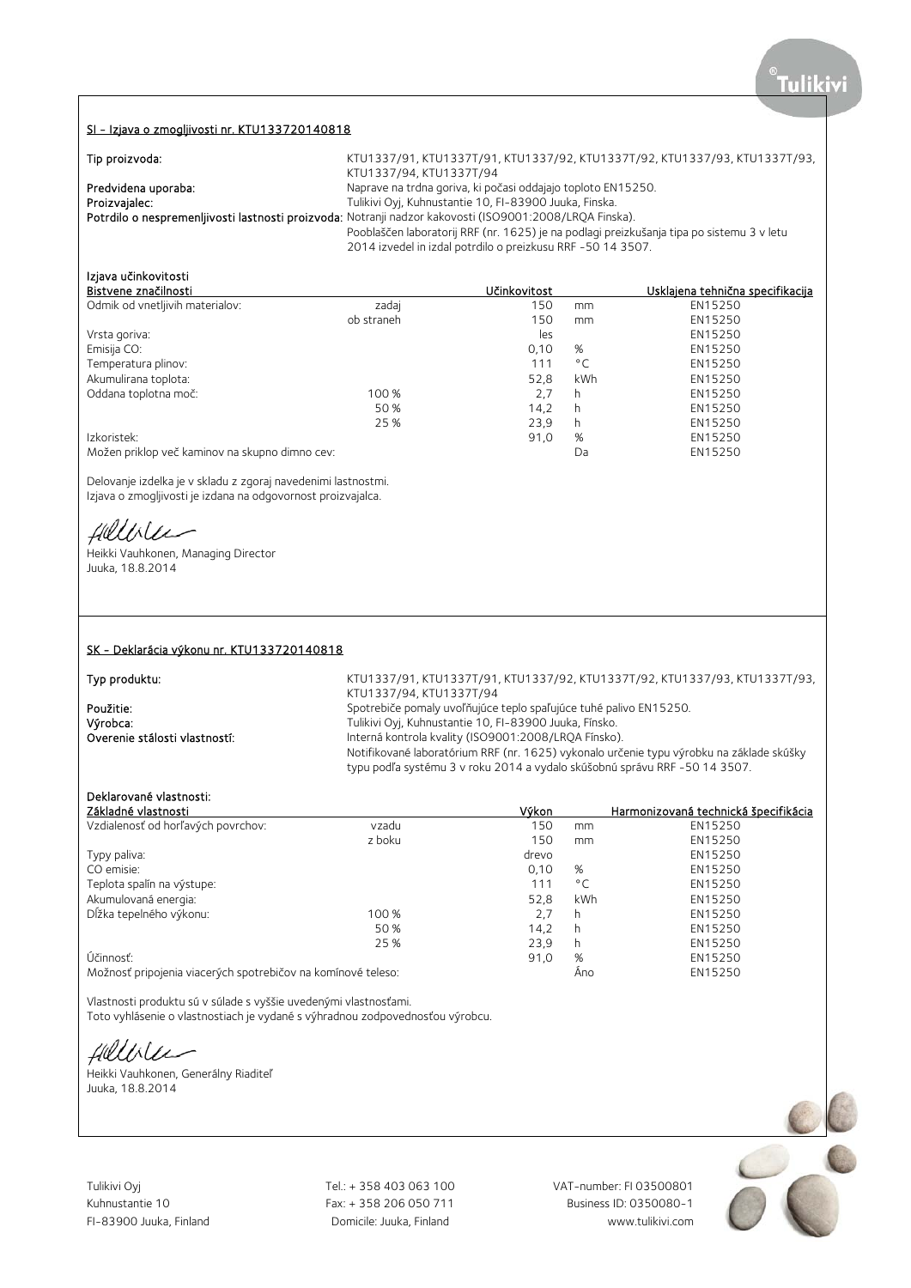### SI - Izjava o zmogljivosti nr. KTU133720140818

| Tip proizvoda: |
|----------------|

| KTU1337/94, KTU1337T/94<br>Naprave na trdna goriva, ki počasi oddajajo toploto EN15250.<br>Tulikivi Oyj, Kuhnustantie 10, FI-83900 Juuka, Finska.<br>Potrdilo o nespremenljivosti lastnosti proizvoda: Notranji nadzor kakovosti (ISO9001:2008/LRQA Finska).<br>Pooblaščen laboratorij RRF (nr. 1625) je na podlagi preizkušanja tipa po sistemu 3 v letu<br>2014 izvedel in izdal potrdilo o preizkusu RRF -50 14 3507. | Tip proizvoda:      | KTU1337/91, KTU1337T/91, KTU1337/92, KTU1337T/92, KTU1337/93, KTU1337T/93, |
|--------------------------------------------------------------------------------------------------------------------------------------------------------------------------------------------------------------------------------------------------------------------------------------------------------------------------------------------------------------------------------------------------------------------------|---------------------|----------------------------------------------------------------------------|
|                                                                                                                                                                                                                                                                                                                                                                                                                          |                     |                                                                            |
|                                                                                                                                                                                                                                                                                                                                                                                                                          | Predvidena uporaba: |                                                                            |
|                                                                                                                                                                                                                                                                                                                                                                                                                          | Proizvajalec:       |                                                                            |
|                                                                                                                                                                                                                                                                                                                                                                                                                          |                     |                                                                            |
|                                                                                                                                                                                                                                                                                                                                                                                                                          |                     |                                                                            |
|                                                                                                                                                                                                                                                                                                                                                                                                                          |                     |                                                                            |

## Izjava učinkovitosti

| Bistvene značilnosti                           |            | Učinkovitost |              | <u>Usklaiena tehnična specifikacija</u> |
|------------------------------------------------|------------|--------------|--------------|-----------------------------------------|
| Odmik od vnetljivih materialov:                | zadaj      | 150          | mm           | EN15250                                 |
|                                                | ob straneh | 150          | mm           | EN15250                                 |
| Vrsta goriva:                                  |            | les          |              | EN15250                                 |
| Emisija CO:                                    |            | 0,10         | %            | EN15250                                 |
| Temperatura plinov:                            |            | 111          | $^{\circ}$ C | EN15250                                 |
| Akumulirana toplota:                           |            | 52,8         | kWh          | EN15250                                 |
| Oddana toplotna moč:                           | 100 %      | 2.7          | h            | EN15250                                 |
|                                                | 50 %       | 14.2         | h            | EN15250                                 |
|                                                | 25 %       | 23.9         | h            | EN15250                                 |
| Izkoristek:                                    |            | 91,0         | %            | EN15250                                 |
| Možen priklop več kaminov na skupno dimno cev: |            |              | Da           | EN15250                                 |
|                                                |            |              |              |                                         |

Delovanje izdelka je v skladu z zgoraj navedenimi lastnostmi. Izjava o zmogljivosti je izdana na odgovornost proizvajalca.

fillble

Heikki Vauhkonen, Managing Director Juuka, 18.8.2014

### SK - Deklarácia výkonu nr. KTU133720140818

| Typ produktu:                 | KTU1337/91, KTU1337T/91, KTU1337/92, KTU1337T/92, KTU1337/93, KTU1337T/93,               |
|-------------------------------|------------------------------------------------------------------------------------------|
|                               | KTU1337/94. KTU1337T/94                                                                  |
| Použitie:                     | Spotrebiče pomaly uvoľňujúce teplo spaľujúce tuhé palivo EN15250.                        |
| Výrobca:                      | Tulikivi Oyj, Kuhnustantie 10, FI-83900 Juuka, Fínsko.                                   |
| Overenie stálosti vlastností: | Interná kontrola kvality (ISO9001:2008/LROA Fínsko).                                     |
|                               | Notifikované laboratórium RRF (nr. 1625) vykonalo určenie typu výrobku na základe skúšky |
|                               | typu podľa systému 3 v roku 2014 a vydalo skúšobnú správu RRF-50 14 3507.                |

## Deklarované vlastnosti:

| Základné vlastnosti                                          |        | Výkon |              | Harmonizovaná technická špecifikácia |
|--------------------------------------------------------------|--------|-------|--------------|--------------------------------------|
| Vzdialenosť od horľavých povrchov:                           | vzadu  | 150   | mm           | EN15250                              |
|                                                              | z boku | 150   | mm           | EN15250                              |
| Typy paliva:                                                 |        | drevo |              | EN15250                              |
| CO emisie:                                                   |        | 0,10  | %            | EN15250                              |
| Teplota spalín na výstupe:                                   |        | 111   | $^{\circ}$ C | EN15250                              |
| Akumulovaná energia:                                         |        | 52.8  | kWh          | EN15250                              |
| Dĺžka tepelného výkonu:                                      | 100 %  | 2.7   | h            | EN15250                              |
|                                                              | 50%    | 14.2  | h            | EN15250                              |
|                                                              | 25 %   | 23,9  | h            | EN15250                              |
| Účinnosť:                                                    |        | 91,0  | %            | EN15250                              |
| Možnosť pripojenia viacerých spotrebičov na komínové teleso: |        |       | Ano          | EN15250                              |

Vlastnosti produktu sú v súlade s vyššie uvedenými vlastnosťami. Toto vyhlásenie o vlastnostiach je vydané s výhradnou zodpovednosťou výrobcu.

fillble

Heikki Vauhkonen, Generálny Riaditeľ Juuka, 18.8.2014

Tulikivi Oyj Tel.: + 358 403 063 100 VAT-number: FI 03500801 Kuhnustantie 10 Fax: + 358 206 050 711

FI-83900 Juuka, Finland Domicile: Juuka, Finland www.tulikivi.com